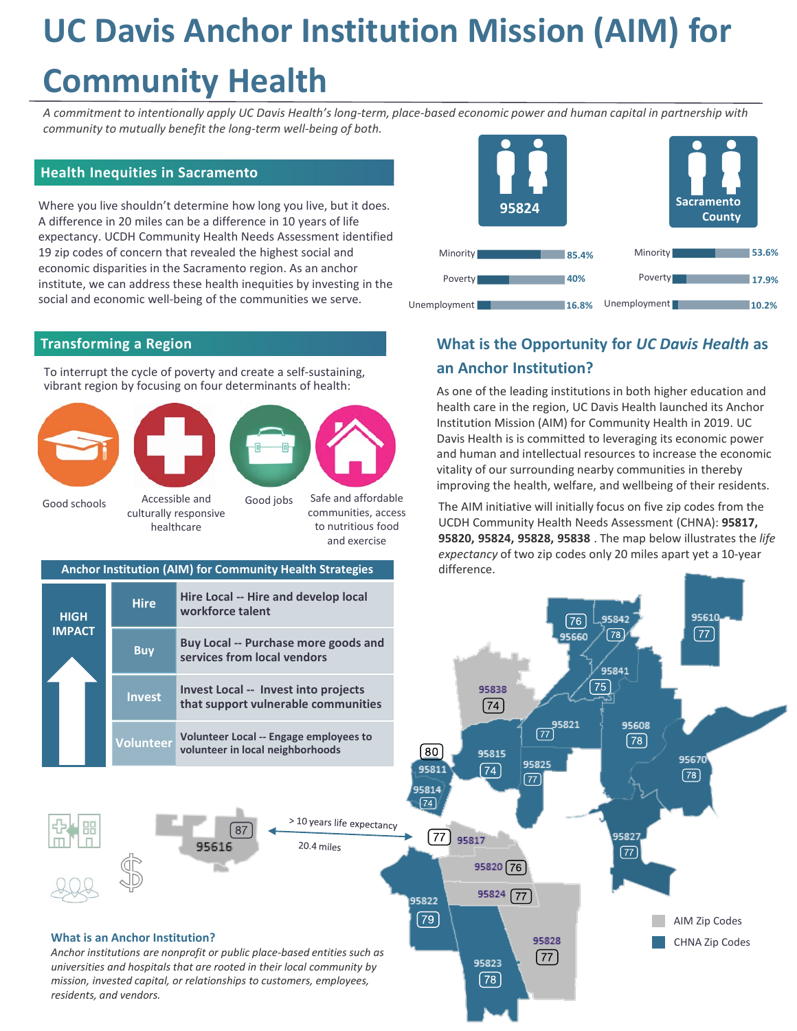# **UC Davis Anchor Institution Mission (AIM) for**

## **Community Health**

*A commitment to intentionally apply UC Davis Health's long-term, place-based economic power and human capital in partnership with community to mutually benefit the long-term well-being of both.*

#### **Health Inequities in Sacramento**

Where you live shouldn't determine how long you live, but it does. A difference in 20 miles can be a difference in 10 years of life expectancy. UCDH Community Health Needs Assessment identified 19 zip codes of concern that revealed the highest social and economic disparities in the Sacramento region. As an anchor institute, we can address these health inequities by investing in the social and economic well-being of the communities we serve.

#### **Transforming a Region**

To interrupt the cycle of poverty and create a self-sustaining, vibrant region by focusing on four determinants of health:







Good schools

Accessible and culturally responsive healthcare

Good jobs Safe and affordable communities, access to nutritious food and exercise

#### **Anchor Institution (AIM) for Community Health Strategies**

|  | <b>HIGH</b><br><b>IMPACT</b> | <b>Hire</b>      | Hire Local -- Hire and develop local<br>workforce talent                           |
|--|------------------------------|------------------|------------------------------------------------------------------------------------|
|  |                              | <b>Buy</b>       | <b>Buy Local -- Purchase more goods and</b><br>services from local vendors         |
|  |                              | <b>Invest</b>    | <b>Invest Local -- Invest into projects</b><br>that support vulnerable communities |
|  |                              | <b>Volunteer</b> | Volunteer Local -- Engage employees to<br>volunteer in local neighborhoods         |



### **What is the Opportunity for** *UC Davis Health* **as an Anchor Institution?**

As one of the leading institutions in both higher education and health care in the region, UC Davis Health launched its Anchor Institution Mission (AIM) for Community Health in 2019. UC Davis Health is is committed to leveraging its economic power and human and intellectual resources to increase the economic vitality of our surrounding nearby communities in thereby improving the health, welfare, and wellbeing of their residents.

The AIM initiative will initially focus on five zip codes from the UCDH Community Health Needs Assessment (CHNA): **95817, 95820, 95824, 95828, 95838** . The map below illustrates the *life expectancy* of two zip codes only 20 miles apart yet a 10-year difference.